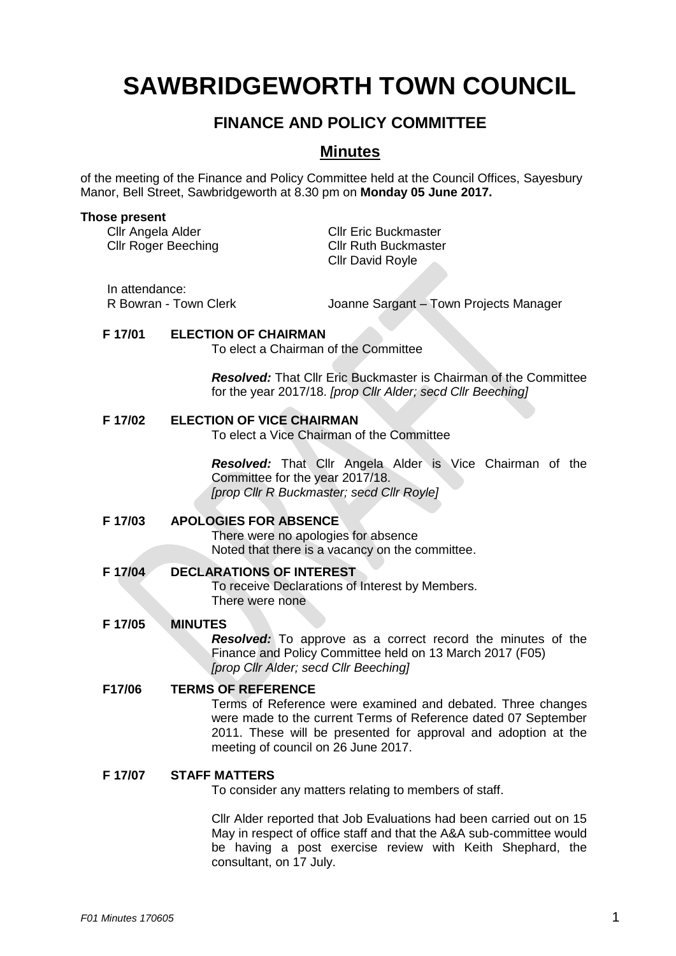# **SAWBRIDGEWORTH TOWN COUNCIL**

## **FINANCE AND POLICY COMMITTEE**

### **Minutes**

of the meeting of the Finance and Policy Committee held at the Council Offices, Sayesbury Manor, Bell Street, Sawbridgeworth at 8.30 pm on **Monday 05 June 2017.**

#### **Those present**

Cllr Angela Alder Cllr Eric Buckmaster

Cllr Roger Beeching Cllr Ruth Buckmaster Cllr David Royle

In attendance:

R Bowran - Town Clerk Joanne Sargant – Town Projects Manager

#### **F 17/01 ELECTION OF CHAIRMAN**

To elect a Chairman of the Committee

*Resolved:* That Cllr Eric Buckmaster is Chairman of the Committee for the year 2017/18. *[prop Cllr Alder; secd Cllr Beeching]*

#### **F 17/02 ELECTION OF VICE CHAIRMAN**

To elect a Vice Chairman of the Committee

*Resolved:* That Cllr Angela Alder is Vice Chairman of the Committee for the year 2017/18. *[prop Cllr R Buckmaster; secd Cllr Royle]*

#### **F 17/03 APOLOGIES FOR ABSENCE**

There were no apologies for absence Noted that there is a vacancy on the committee.

# **F 17/04 DECLARATIONS OF INTEREST**

To receive Declarations of Interest by Members. There were none

#### **F 17/05 MINUTES**

*Resolved:* To approve as a correct record the minutes of the Finance and Policy Committee held on 13 March 2017 (F05) *[prop Cllr Alder; secd Cllr Beeching]*

#### **F17/06 TERMS OF REFERENCE**

Terms of Reference were examined and debated. Three changes were made to the current Terms of Reference dated 07 September 2011. These will be presented for approval and adoption at the meeting of council on 26 June 2017.

#### **F 17/07 STAFF MATTERS**

To consider any matters relating to members of staff.

Cllr Alder reported that Job Evaluations had been carried out on 15 May in respect of office staff and that the A&A sub-committee would be having a post exercise review with Keith Shephard, the consultant, on 17 July.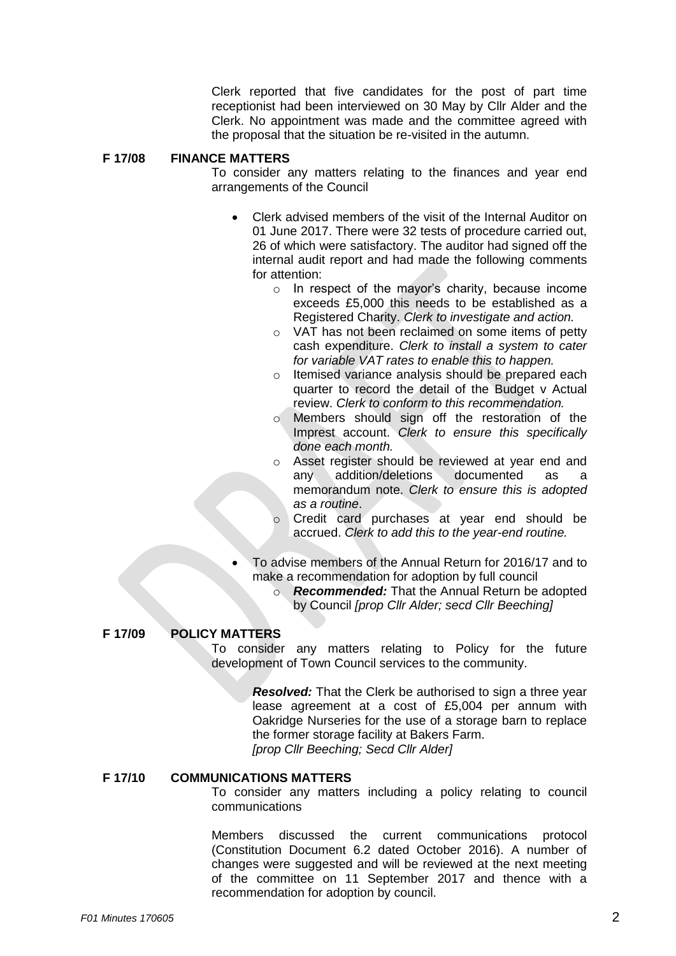Clerk reported that five candidates for the post of part time receptionist had been interviewed on 30 May by Cllr Alder and the Clerk. No appointment was made and the committee agreed with the proposal that the situation be re-visited in the autumn.

#### **F 17/08 FINANCE MATTERS**

To consider any matters relating to the finances and year end arrangements of the Council

- Clerk advised members of the visit of the Internal Auditor on 01 June 2017. There were 32 tests of procedure carried out, 26 of which were satisfactory. The auditor had signed off the internal audit report and had made the following comments for attention:
	- o In respect of the mayor's charity, because income exceeds £5,000 this needs to be established as a Registered Charity. *Clerk to investigate and action.*
	- o VAT has not been reclaimed on some items of petty cash expenditure. *Clerk to install a system to cater for variable VAT rates to enable this to happen.*
	- o Itemised variance analysis should be prepared each quarter to record the detail of the Budget v Actual review. *Clerk to conform to this recommendation.*
	- o Members should sign off the restoration of the Imprest account. *Clerk to ensure this specifically done each month.*
	- o Asset register should be reviewed at year end and any addition/deletions documented as memorandum note. *Clerk to ensure this is adopted as a routine*.
	- Credit card purchases at year end should be accrued. *Clerk to add this to the year-end routine.*
- To advise members of the Annual Return for 2016/17 and to make a recommendation for adoption by full council
	- o *Recommended:* That the Annual Return be adopted by Council *[prop Cllr Alder; secd Cllr Beeching]*

#### **F 17/09 POLICY MATTERS**

To consider any matters relating to Policy for the future development of Town Council services to the community.

> *Resolved:* That the Clerk be authorised to sign a three year lease agreement at a cost of £5,004 per annum with Oakridge Nurseries for the use of a storage barn to replace the former storage facility at Bakers Farm. *[prop Cllr Beeching; Secd Cllr Alder]*

#### **F 17/10 COMMUNICATIONS MATTERS**

To consider any matters including a policy relating to council communications

Members discussed the current communications protocol (Constitution Document 6.2 dated October 2016). A number of changes were suggested and will be reviewed at the next meeting of the committee on 11 September 2017 and thence with a recommendation for adoption by council.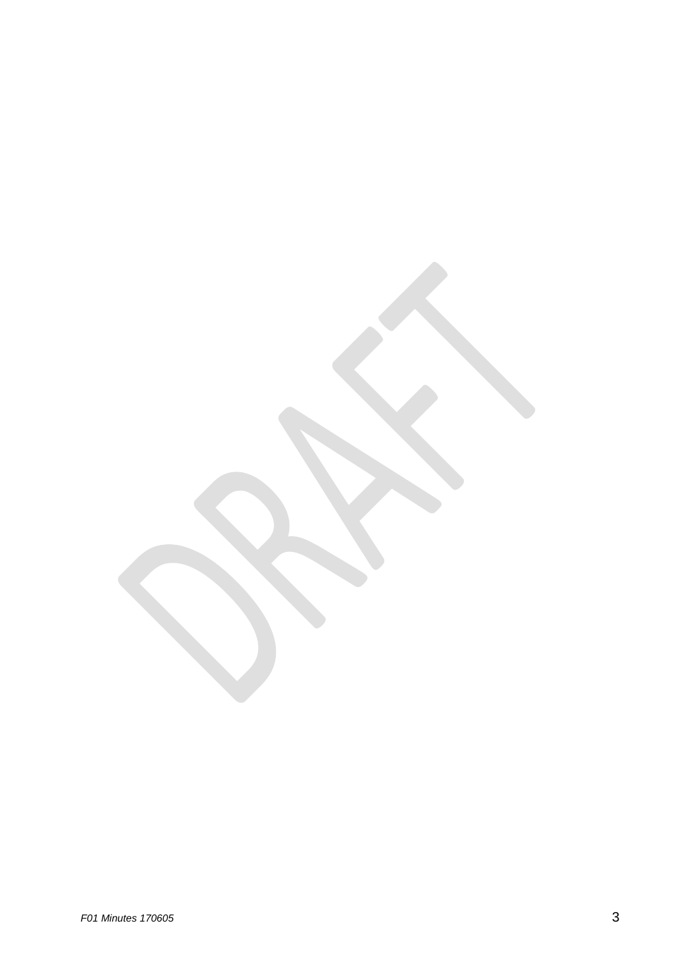F01 Minutes 170605